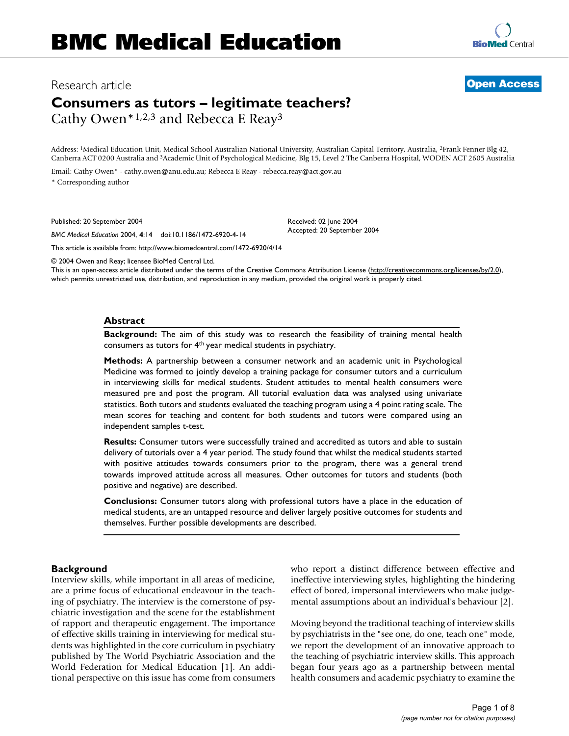# Research article **[Open Access](http://www.biomedcentral.com/info/about/charter/)**

# **Consumers as tutors – legitimate teachers?** Cathy Owen\*1,2,3 and Rebecca E Reay3

Address: 1Medical Education Unit, Medical School Australian National University, Australian Capital Territory, Australia, 2Frank Fenner Blg 42, Canberra ACT 0200 Australia and 3Academic Unit of Psychological Medicine, Blg 15, Level 2 The Canberra Hospital, WODEN ACT 2605 Australia

Email: Cathy Owen\* - cathy.owen@anu.edu.au; Rebecca E Reay - rebecca.reay@act.gov.au \* Corresponding author

Published: 20 September 2004

*BMC Medical Education* 2004, **4**:14 doi:10.1186/1472-6920-4-14

[This article is available from: http://www.biomedcentral.com/1472-6920/4/14](http://www.biomedcentral.com/1472-6920/4/14)

© 2004 Owen and Reay; licensee BioMed Central Ltd.

This is an open-access article distributed under the terms of the Creative Commons Attribution License (<http://creativecommons.org/licenses/by/2.0>), which permits unrestricted use, distribution, and reproduction in any medium, provided the original work is properly cited.

#### **Abstract**

**Background:** The aim of this study was to research the feasibility of training mental health consumers as tutors for 4th year medical students in psychiatry.

**Methods:** A partnership between a consumer network and an academic unit in Psychological Medicine was formed to jointly develop a training package for consumer tutors and a curriculum in interviewing skills for medical students. Student attitudes to mental health consumers were measured pre and post the program. All tutorial evaluation data was analysed using univariate statistics. Both tutors and students evaluated the teaching program using a 4 point rating scale. The mean scores for teaching and content for both students and tutors were compared using an independent samples t-test.

**Results:** Consumer tutors were successfully trained and accredited as tutors and able to sustain delivery of tutorials over a 4 year period. The study found that whilst the medical students started with positive attitudes towards consumers prior to the program, there was a general trend towards improved attitude across all measures. Other outcomes for tutors and students (both positive and negative) are described.

**Conclusions:** Consumer tutors along with professional tutors have a place in the education of medical students, are an untapped resource and deliver largely positive outcomes for students and themselves. Further possible developments are described.

#### **Background**

Interview skills, while important in all areas of medicine, are a prime focus of educational endeavour in the teaching of psychiatry. The interview is the cornerstone of psychiatric investigation and the scene for the establishment of rapport and therapeutic engagement. The importance of effective skills training in interviewing for medical students was highlighted in the core curriculum in psychiatry published by The World Psychiatric Association and the World Federation for Medical Education [1]. An additional perspective on this issue has come from consumers who report a distinct difference between effective and ineffective interviewing styles, highlighting the hindering effect of bored, impersonal interviewers who make judgemental assumptions about an individual's behaviour [2].

Moving beyond the traditional teaching of interview skills by psychiatrists in the "see one, do one, teach one" mode, we report the development of an innovative approach to the teaching of psychiatric interview skills. This approach began four years ago as a partnership between mental health consumers and academic psychiatry to examine the



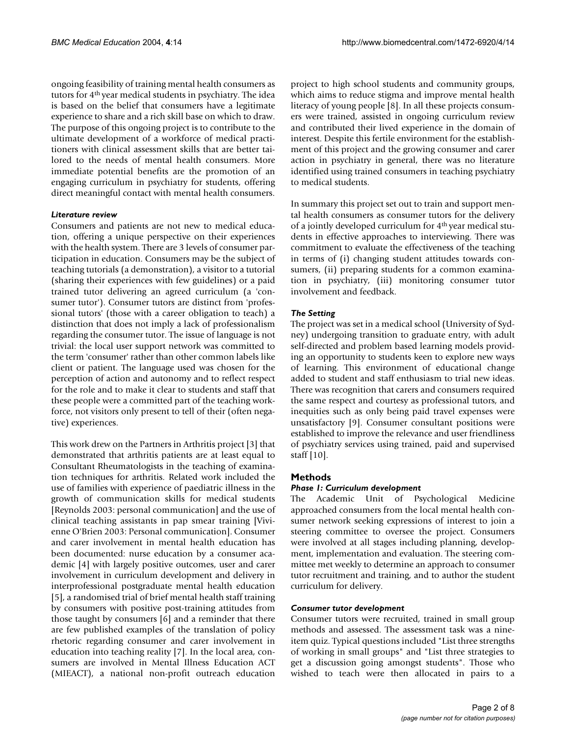ongoing feasibility of training mental health consumers as tutors for 4th year medical students in psychiatry. The idea is based on the belief that consumers have a legitimate experience to share and a rich skill base on which to draw. The purpose of this ongoing project is to contribute to the ultimate development of a workforce of medical practitioners with clinical assessment skills that are better tailored to the needs of mental health consumers. More immediate potential benefits are the promotion of an engaging curriculum in psychiatry for students, offering direct meaningful contact with mental health consumers.

#### *Literature review*

Consumers and patients are not new to medical education, offering a unique perspective on their experiences with the health system. There are 3 levels of consumer participation in education. Consumers may be the subject of teaching tutorials (a demonstration), a visitor to a tutorial (sharing their experiences with few guidelines) or a paid trained tutor delivering an agreed curriculum (a 'consumer tutor'). Consumer tutors are distinct from 'professional tutors' (those with a career obligation to teach) a distinction that does not imply a lack of professionalism regarding the consumer tutor. The issue of language is not trivial: the local user support network was committed to the term 'consumer' rather than other common labels like client or patient. The language used was chosen for the perception of action and autonomy and to reflect respect for the role and to make it clear to students and staff that these people were a committed part of the teaching workforce, not visitors only present to tell of their (often negative) experiences.

This work drew on the Partners in Arthritis project [3] that demonstrated that arthritis patients are at least equal to Consultant Rheumatologists in the teaching of examination techniques for arthritis. Related work included the use of families with experience of paediatric illness in the growth of communication skills for medical students [Reynolds 2003: personal communication] and the use of clinical teaching assistants in pap smear training [Vivienne O'Brien 2003: Personal communication]. Consumer and carer involvement in mental health education has been documented: nurse education by a consumer academic [4] with largely positive outcomes, user and carer involvement in curriculum development and delivery in interprofessional postgraduate mental health education [5], a randomised trial of brief mental health staff training by consumers with positive post-training attitudes from those taught by consumers [6] and a reminder that there are few published examples of the translation of policy rhetoric regarding consumer and carer involvement in education into teaching reality [7]. In the local area, consumers are involved in Mental Illness Education ACT (MIEACT), a national non-profit outreach education project to high school students and community groups, which aims to reduce stigma and improve mental health literacy of young people [8]. In all these projects consumers were trained, assisted in ongoing curriculum review and contributed their lived experience in the domain of interest. Despite this fertile environment for the establishment of this project and the growing consumer and carer action in psychiatry in general, there was no literature identified using trained consumers in teaching psychiatry to medical students.

In summary this project set out to train and support mental health consumers as consumer tutors for the delivery of a jointly developed curriculum for 4th year medical students in effective approaches to interviewing. There was commitment to evaluate the effectiveness of the teaching in terms of (i) changing student attitudes towards consumers, (ii) preparing students for a common examination in psychiatry, (iii) monitoring consumer tutor involvement and feedback.

# *The Setting*

The project was set in a medical school (University of Sydney) undergoing transition to graduate entry, with adult self-directed and problem based learning models providing an opportunity to students keen to explore new ways of learning. This environment of educational change added to student and staff enthusiasm to trial new ideas. There was recognition that carers and consumers required the same respect and courtesy as professional tutors, and inequities such as only being paid travel expenses were unsatisfactory [9]. Consumer consultant positions were established to improve the relevance and user friendliness of psychiatry services using trained, paid and supervised staff [10].

# **Methods**

### *Phase 1: Curriculum development*

The Academic Unit of Psychological Medicine approached consumers from the local mental health consumer network seeking expressions of interest to join a steering committee to oversee the project. Consumers were involved at all stages including planning, development, implementation and evaluation. The steering committee met weekly to determine an approach to consumer tutor recruitment and training, and to author the student curriculum for delivery.

### *Consumer tutor development*

Consumer tutors were recruited, trained in small group methods and assessed. The assessment task was a nineitem quiz. Typical questions included "List three strengths of working in small groups" and "List three strategies to get a discussion going amongst students". Those who wished to teach were then allocated in pairs to a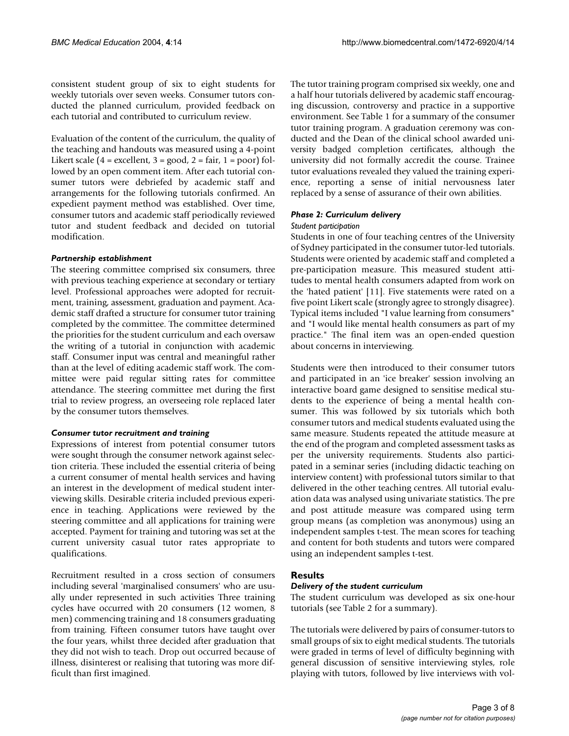consistent student group of six to eight students for weekly tutorials over seven weeks. Consumer tutors conducted the planned curriculum, provided feedback on each tutorial and contributed to curriculum review.

Evaluation of the content of the curriculum, the quality of the teaching and handouts was measured using a 4-point Likert scale  $(4 = \text{excellent}, 3 = \text{good}, 2 = \text{fair}, 1 = \text{poor})$  followed by an open comment item. After each tutorial consumer tutors were debriefed by academic staff and arrangements for the following tutorials confirmed. An expedient payment method was established. Over time, consumer tutors and academic staff periodically reviewed tutor and student feedback and decided on tutorial modification.

# *Partnership establishment*

The steering committee comprised six consumers, three with previous teaching experience at secondary or tertiary level. Professional approaches were adopted for recruitment, training, assessment, graduation and payment. Academic staff drafted a structure for consumer tutor training completed by the committee. The committee determined the priorities for the student curriculum and each oversaw the writing of a tutorial in conjunction with academic staff. Consumer input was central and meaningful rather than at the level of editing academic staff work. The committee were paid regular sitting rates for committee attendance. The steering committee met during the first trial to review progress, an overseeing role replaced later by the consumer tutors themselves.

### *Consumer tutor recruitment and training*

Expressions of interest from potential consumer tutors were sought through the consumer network against selection criteria. These included the essential criteria of being a current consumer of mental health services and having an interest in the development of medical student interviewing skills. Desirable criteria included previous experience in teaching. Applications were reviewed by the steering committee and all applications for training were accepted. Payment for training and tutoring was set at the current university casual tutor rates appropriate to qualifications.

Recruitment resulted in a cross section of consumers including several 'marginalised consumers' who are usually under represented in such activities Three training cycles have occurred with 20 consumers (12 women, 8 men) commencing training and 18 consumers graduating from training. Fifteen consumer tutors have taught over the four years, whilst three decided after graduation that they did not wish to teach. Drop out occurred because of illness, disinterest or realising that tutoring was more difficult than first imagined.

The tutor training program comprised six weekly, one and a half hour tutorials delivered by academic staff encouraging discussion, controversy and practice in a supportive environment. See Table [1](#page-3-0) for a summary of the consumer tutor training program. A graduation ceremony was conducted and the Dean of the clinical school awarded university badged completion certificates, although the university did not formally accredit the course. Trainee tutor evaluations revealed they valued the training experience, reporting a sense of initial nervousness later replaced by a sense of assurance of their own abilities.

### *Phase 2: Curriculum delivery*

#### *Student participation*

Students in one of four teaching centres of the University of Sydney participated in the consumer tutor-led tutorials. Students were oriented by academic staff and completed a pre-participation measure. This measured student attitudes to mental health consumers adapted from work on the 'hated patient' [11]. Five statements were rated on a five point Likert scale (strongly agree to strongly disagree). Typical items included "I value learning from consumers" and "I would like mental health consumers as part of my practice." The final item was an open-ended question about concerns in interviewing.

Students were then introduced to their consumer tutors and participated in an 'ice breaker' session involving an interactive board game designed to sensitise medical students to the experience of being a mental health consumer. This was followed by six tutorials which both consumer tutors and medical students evaluated using the same measure. Students repeated the attitude measure at the end of the program and completed assessment tasks as per the university requirements. Students also participated in a seminar series (including didactic teaching on interview content) with professional tutors similar to that delivered in the other teaching centres. All tutorial evaluation data was analysed using univariate statistics. The pre and post attitude measure was compared using term group means (as completion was anonymous) using an independent samples t-test. The mean scores for teaching and content for both students and tutors were compared using an independent samples t-test.

# **Results**

### *Delivery of the student curriculum*

The student curriculum was developed as six one-hour tutorials (see Table 2 for a summary).

The tutorials were delivered by pairs of consumer-tutors to small groups of six to eight medical students. The tutorials were graded in terms of level of difficulty beginning with general discussion of sensitive interviewing styles, role playing with tutors, followed by live interviews with vol-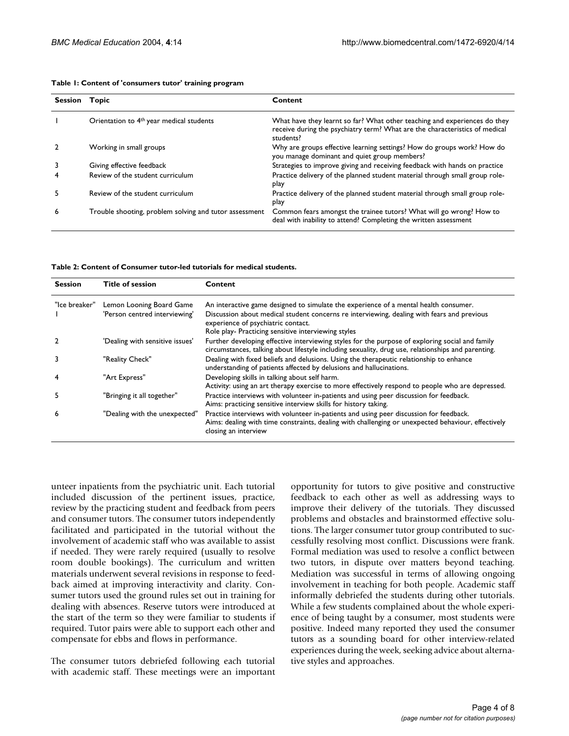| <b>Session</b> | Topic                                                  | Content                                                                                                                                                               |
|----------------|--------------------------------------------------------|-----------------------------------------------------------------------------------------------------------------------------------------------------------------------|
|                | Orientation to 4 <sup>th</sup> year medical students   | What have they learnt so far? What other teaching and experiences do they<br>receive during the psychiatry term? What are the characteristics of medical<br>students? |
|                | Working in small groups                                | Why are groups effective learning settings? How do groups work? How do<br>you manage dominant and quiet group members?                                                |
|                | Giving effective feedback                              | Strategies to improve giving and receiving feedback with hands on practice                                                                                            |
| 4              | Review of the student curriculum                       | Practice delivery of the planned student material through small group role-<br>play                                                                                   |
|                | Review of the student curriculum                       | Practice delivery of the planned student material through small group role-<br>play                                                                                   |
| 6              | Trouble shooting, problem solving and tutor assessment | Common fears amongst the trainee tutors? What will go wrong? How to<br>deal with inability to attend? Completing the written assessment                               |

<span id="page-3-0"></span>

|  |  |  |  |  | Table 1: Content of 'consumers tutor' training program |
|--|--|--|--|--|--------------------------------------------------------|
|--|--|--|--|--|--------------------------------------------------------|

**Table 2: Content of Consumer tutor-led tutorials for medical students.**

| <b>Session</b> | <b>Title of session</b>         | Content                                                                                                                                                                                                              |
|----------------|---------------------------------|----------------------------------------------------------------------------------------------------------------------------------------------------------------------------------------------------------------------|
| "Ice breaker"  | Lemon Looning Board Game        | An interactive game designed to simulate the experience of a mental health consumer.                                                                                                                                 |
|                | 'Person centred interviewing'   | Discussion about medical student concerns re interviewing, dealing with fears and previous<br>experience of psychiatric contact.                                                                                     |
|                |                                 | Role play-Practicing sensitive interviewing styles                                                                                                                                                                   |
|                | 'Dealing with sensitive issues' | Further developing effective interviewing styles for the purpose of exploring social and family<br>circumstances, talking about lifestyle including sexuality, drug use, relationships and parenting.                |
|                | "Reality Check"                 | Dealing with fixed beliefs and delusions. Using the therapeutic relationship to enhance<br>understanding of patients affected by delusions and hallucinations.                                                       |
| 4              | "Art Express"                   | Developing skills in talking about self harm.<br>Activity: using an art therapy exercise to more effectively respond to people who are depressed.                                                                    |
|                | "Bringing it all together"      | Practice interviews with volunteer in-patients and using peer discussion for feedback.<br>Aims: practicing sensitive interview skills for history taking.                                                            |
| 6              | "Dealing with the unexpected"   | Practice interviews with volunteer in-patients and using peer discussion for feedback.<br>Aims: dealing with time constraints, dealing with challenging or unexpected behaviour, effectively<br>closing an interview |

unteer inpatients from the psychiatric unit. Each tutorial included discussion of the pertinent issues, practice, review by the practicing student and feedback from peers and consumer tutors. The consumer tutors independently facilitated and participated in the tutorial without the involvement of academic staff who was available to assist if needed. They were rarely required (usually to resolve room double bookings). The curriculum and written materials underwent several revisions in response to feedback aimed at improving interactivity and clarity. Consumer tutors used the ground rules set out in training for dealing with absences. Reserve tutors were introduced at the start of the term so they were familiar to students if required. Tutor pairs were able to support each other and compensate for ebbs and flows in performance.

The consumer tutors debriefed following each tutorial with academic staff. These meetings were an important opportunity for tutors to give positive and constructive feedback to each other as well as addressing ways to improve their delivery of the tutorials. They discussed problems and obstacles and brainstormed effective solutions. The larger consumer tutor group contributed to successfully resolving most conflict. Discussions were frank. Formal mediation was used to resolve a conflict between two tutors, in dispute over matters beyond teaching. Mediation was successful in terms of allowing ongoing involvement in teaching for both people. Academic staff informally debriefed the students during other tutorials. While a few students complained about the whole experience of being taught by a consumer, most students were positive. Indeed many reported they used the consumer tutors as a sounding board for other interview-related experiences during the week, seeking advice about alternative styles and approaches.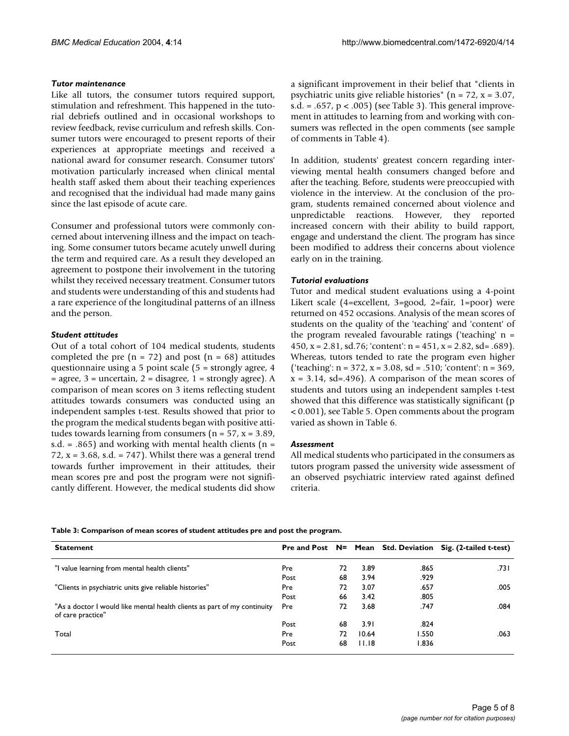#### *Tutor maintenance*

Like all tutors, the consumer tutors required support, stimulation and refreshment. This happened in the tutorial debriefs outlined and in occasional workshops to review feedback, revise curriculum and refresh skills. Consumer tutors were encouraged to present reports of their experiences at appropriate meetings and received a national award for consumer research. Consumer tutors' motivation particularly increased when clinical mental health staff asked them about their teaching experiences and recognised that the individual had made many gains since the last episode of acute care.

Consumer and professional tutors were commonly concerned about intervening illness and the impact on teaching. Some consumer tutors became acutely unwell during the term and required care. As a result they developed an agreement to postpone their involvement in the tutoring whilst they received necessary treatment. Consumer tutors and students were understanding of this and students had a rare experience of the longitudinal patterns of an illness and the person.

#### *Student attitudes*

Out of a total cohort of 104 medical students, students completed the pre ( $n = 72$ ) and post ( $n = 68$ ) attitudes questionnaire using a 5 point scale (5 = strongly agree, 4  $=$  agree, 3 = uncertain, 2 = disagree, 1 = strongly agree). A comparison of mean scores on 3 items reflecting student attitudes towards consumers was conducted using an independent samples t-test. Results showed that prior to the program the medical students began with positive attitudes towards learning from consumers ( $n = 57$ ,  $x = 3.89$ , s.d. = .865) and working with mental health clients ( $n =$ 72,  $x = 3.68$ , s.d. = 747). Whilst there was a general trend towards further improvement in their attitudes, their mean scores pre and post the program were not significantly different. However, the medical students did show a significant improvement in their belief that "clients in psychiatric units give reliable histories" ( $n = 72$ ,  $x = 3.07$ , s.d. = .657,  $p < .005$ ) (see Table [3](#page-4-0)). This general improvement in attitudes to learning from and working with consumers was reflected in the open comments (see sample of comments in Table [4\)](#page-5-0).

In addition, students' greatest concern regarding interviewing mental health consumers changed before and after the teaching. Before, students were preoccupied with violence in the interview. At the conclusion of the program, students remained concerned about violence and unpredictable reactions. However, they reported increased concern with their ability to build rapport, engage and understand the client. The program has since been modified to address their concerns about violence early on in the training.

#### *Tutorial evaluations*

Tutor and medical student evaluations using a 4-point Likert scale (4=excellent, 3=good, 2=fair, 1=poor) were returned on 452 occasions. Analysis of the mean scores of students on the quality of the 'teaching' and 'content' of the program revealed favourable ratings ('teaching'  $n =$ 450, x = 2.81, sd.76; 'content':  $n = 451$ , x = 2.82, sd= .689). Whereas, tutors tended to rate the program even higher  $($ 'teaching': n = 372, x = 3.08, sd = .510; 'content': n = 369,  $x = 3.14$ , sd=.496). A comparison of the mean scores of students and tutors using an independent samples t-test showed that this difference was statistically significant (p < 0.001), see Table [5.](#page-5-1) Open comments about the program varied as shown in Table [6](#page-5-2).

#### *Assessment*

All medical students who participated in the consumers as tutors program passed the university wide assessment of an observed psychiatric interview rated against defined criteria.

<span id="page-4-0"></span>

| Table 3: Comparison of mean scores of student attitudes pre and post the program. |  |  |
|-----------------------------------------------------------------------------------|--|--|
|-----------------------------------------------------------------------------------|--|--|

| <b>Statement</b>                                                                              |      |    |       |       | Pre and Post N= Mean Std. Deviation Sig. (2-tailed t-test) |
|-----------------------------------------------------------------------------------------------|------|----|-------|-------|------------------------------------------------------------|
| "I value learning from mental health clients"                                                 | Pre  | 72 | 3.89  | .865  | .731                                                       |
|                                                                                               | Post | 68 | 3.94  | .929  |                                                            |
| "Clients in psychiatric units give reliable histories"                                        | Pre  | 72 | 3.07  | .657  | .005                                                       |
|                                                                                               | Post | 66 | 3.42  | .805  |                                                            |
| "As a doctor I would like mental health clients as part of my continuity<br>of care practice" | Pre  | 72 | 3.68  | .747  | .084                                                       |
|                                                                                               | Post | 68 | 3.91  | .824  |                                                            |
| Total                                                                                         | Pre  | 72 | 10.64 | 1.550 | .063                                                       |
|                                                                                               | Post | 68 | 11.18 | 1.836 |                                                            |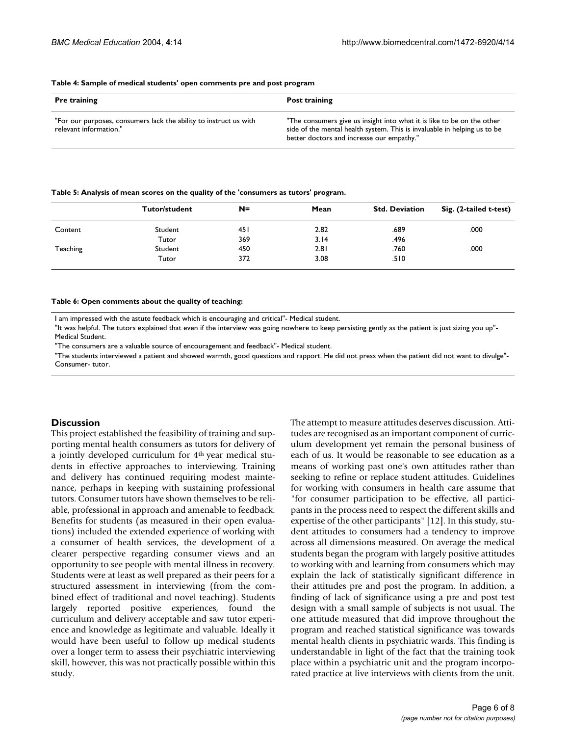#### <span id="page-5-0"></span>**Table 4: Sample of medical students' open comments pre and post program**

| <b>Pre training</b>                                                                         | Post training                                                                                                                                                                                   |
|---------------------------------------------------------------------------------------------|-------------------------------------------------------------------------------------------------------------------------------------------------------------------------------------------------|
| "For our purposes, consumers lack the ability to instruct us with<br>relevant information." | "The consumers give us insight into what it is like to be on the other<br>side of the mental health system. This is invaluable in helping us to be<br>better doctors and increase our empathy." |

<span id="page-5-1"></span>**Table 5: Analysis of mean scores on the quality of the 'consumers as tutors' program.**

|          | Tutor/student | $N =$ | Mean | <b>Std. Deviation</b> | Sig. (2-tailed t-test) |
|----------|---------------|-------|------|-----------------------|------------------------|
| Content  | Student       | 45 I  | 2.82 | .689                  | .000                   |
|          | Tutor         | 369   | 3.14 | .496                  |                        |
| Teaching | Student       | 450   | 2.81 | .760                  | .000                   |
|          | Tutor         | 372   | 3.08 | .510                  |                        |

#### <span id="page-5-2"></span>**Table 6: Open comments about the quality of teaching:**

I am impressed with the astute feedback which is encouraging and critical"- Medical student.

"It was helpful. The tutors explained that even if the interview was going nowhere to keep persisting gently as the patient is just sizing you up"- Medical Student.

"The consumers are a valuable source of encouragement and feedback"- Medical student.

"The students interviewed a patient and showed warmth, good questions and rapport. He did not press when the patient did not want to divulge"- Consumer- tutor.

#### **Discussion**

This project established the feasibility of training and supporting mental health consumers as tutors for delivery of a jointly developed curriculum for  $4<sup>th</sup>$  year medical students in effective approaches to interviewing. Training and delivery has continued requiring modest maintenance, perhaps in keeping with sustaining professional tutors. Consumer tutors have shown themselves to be reliable, professional in approach and amenable to feedback. Benefits for students (as measured in their open evaluations) included the extended experience of working with a consumer of health services, the development of a clearer perspective regarding consumer views and an opportunity to see people with mental illness in recovery. Students were at least as well prepared as their peers for a structured assessment in interviewing (from the combined effect of traditional and novel teaching). Students largely reported positive experiences, found the curriculum and delivery acceptable and saw tutor experience and knowledge as legitimate and valuable. Ideally it would have been useful to follow up medical students over a longer term to assess their psychiatric interviewing skill, however, this was not practically possible within this study.

The attempt to measure attitudes deserves discussion. Attitudes are recognised as an important component of curriculum development yet remain the personal business of each of us. It would be reasonable to see education as a means of working past one's own attitudes rather than seeking to refine or replace student attitudes. Guidelines for working with consumers in health care assume that "for consumer participation to be effective, all participants in the process need to respect the different skills and expertise of the other participants" [12]. In this study, student attitudes to consumers had a tendency to improve across all dimensions measured. On average the medical students began the program with largely positive attitudes to working with and learning from consumers which may explain the lack of statistically significant difference in their attitudes pre and post the program. In addition, a finding of lack of significance using a pre and post test design with a small sample of subjects is not usual. The one attitude measured that did improve throughout the program and reached statistical significance was towards mental health clients in psychiatric wards. This finding is understandable in light of the fact that the training took place within a psychiatric unit and the program incorporated practice at live interviews with clients from the unit.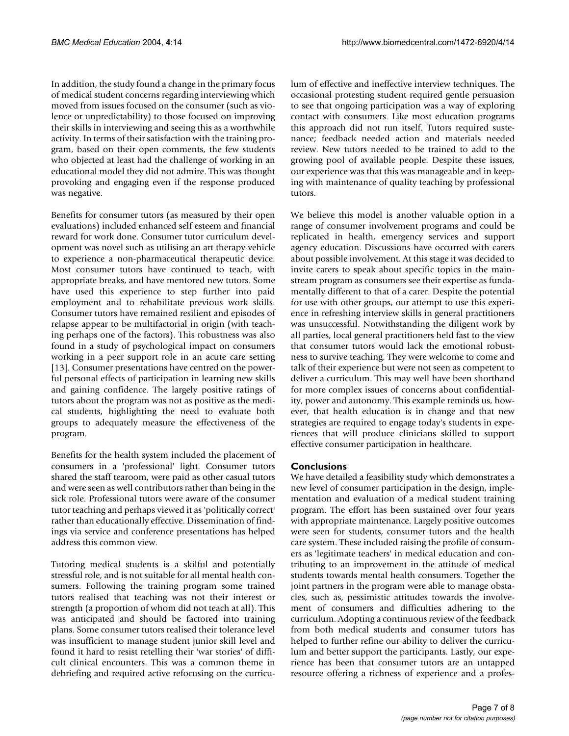In addition, the study found a change in the primary focus of medical student concerns regarding interviewing which moved from issues focused on the consumer (such as violence or unpredictability) to those focused on improving their skills in interviewing and seeing this as a worthwhile activity. In terms of their satisfaction with the training program, based on their open comments, the few students who objected at least had the challenge of working in an educational model they did not admire. This was thought provoking and engaging even if the response produced was negative.

Benefits for consumer tutors (as measured by their open evaluations) included enhanced self esteem and financial reward for work done. Consumer tutor curriculum development was novel such as utilising an art therapy vehicle to experience a non-pharmaceutical therapeutic device. Most consumer tutors have continued to teach, with appropriate breaks, and have mentored new tutors. Some have used this experience to step further into paid employment and to rehabilitate previous work skills. Consumer tutors have remained resilient and episodes of relapse appear to be multifactorial in origin (with teaching perhaps one of the factors). This robustness was also found in a study of psychological impact on consumers working in a peer support role in an acute care setting [13]. Consumer presentations have centred on the powerful personal effects of participation in learning new skills and gaining confidence. The largely positive ratings of tutors about the program was not as positive as the medical students, highlighting the need to evaluate both groups to adequately measure the effectiveness of the program.

Benefits for the health system included the placement of consumers in a 'professional' light. Consumer tutors shared the staff tearoom, were paid as other casual tutors and were seen as well contributors rather than being in the sick role. Professional tutors were aware of the consumer tutor teaching and perhaps viewed it as 'politically correct' rather than educationally effective. Dissemination of findings via service and conference presentations has helped address this common view.

Tutoring medical students is a skilful and potentially stressful role, and is not suitable for all mental health consumers. Following the training program some trained tutors realised that teaching was not their interest or strength (a proportion of whom did not teach at all). This was anticipated and should be factored into training plans. Some consumer tutors realised their tolerance level was insufficient to manage student junior skill level and found it hard to resist retelling their 'war stories' of difficult clinical encounters. This was a common theme in debriefing and required active refocusing on the curriculum of effective and ineffective interview techniques. The occasional protesting student required gentle persuasion to see that ongoing participation was a way of exploring contact with consumers. Like most education programs this approach did not run itself. Tutors required sustenance; feedback needed action and materials needed review. New tutors needed to be trained to add to the growing pool of available people. Despite these issues, our experience was that this was manageable and in keeping with maintenance of quality teaching by professional tutors.

We believe this model is another valuable option in a range of consumer involvement programs and could be replicated in health, emergency services and support agency education. Discussions have occurred with carers about possible involvement. At this stage it was decided to invite carers to speak about specific topics in the mainstream program as consumers see their expertise as fundamentally different to that of a carer. Despite the potential for use with other groups, our attempt to use this experience in refreshing interview skills in general practitioners was unsuccessful. Notwithstanding the diligent work by all parties, local general practitioners held fast to the view that consumer tutors would lack the emotional robustness to survive teaching. They were welcome to come and talk of their experience but were not seen as competent to deliver a curriculum. This may well have been shorthand for more complex issues of concerns about confidentiality, power and autonomy. This example reminds us, however, that health education is in change and that new strategies are required to engage today's students in experiences that will produce clinicians skilled to support effective consumer participation in healthcare.

# **Conclusions**

We have detailed a feasibility study which demonstrates a new level of consumer participation in the design, implementation and evaluation of a medical student training program. The effort has been sustained over four years with appropriate maintenance. Largely positive outcomes were seen for students, consumer tutors and the health care system. These included raising the profile of consumers as 'legitimate teachers' in medical education and contributing to an improvement in the attitude of medical students towards mental health consumers. Together the joint partners in the program were able to manage obstacles, such as, pessimistic attitudes towards the involvement of consumers and difficulties adhering to the curriculum. Adopting a continuous review of the feedback from both medical students and consumer tutors has helped to further refine our ability to deliver the curriculum and better support the participants. Lastly, our experience has been that consumer tutors are an untapped resource offering a richness of experience and a profes